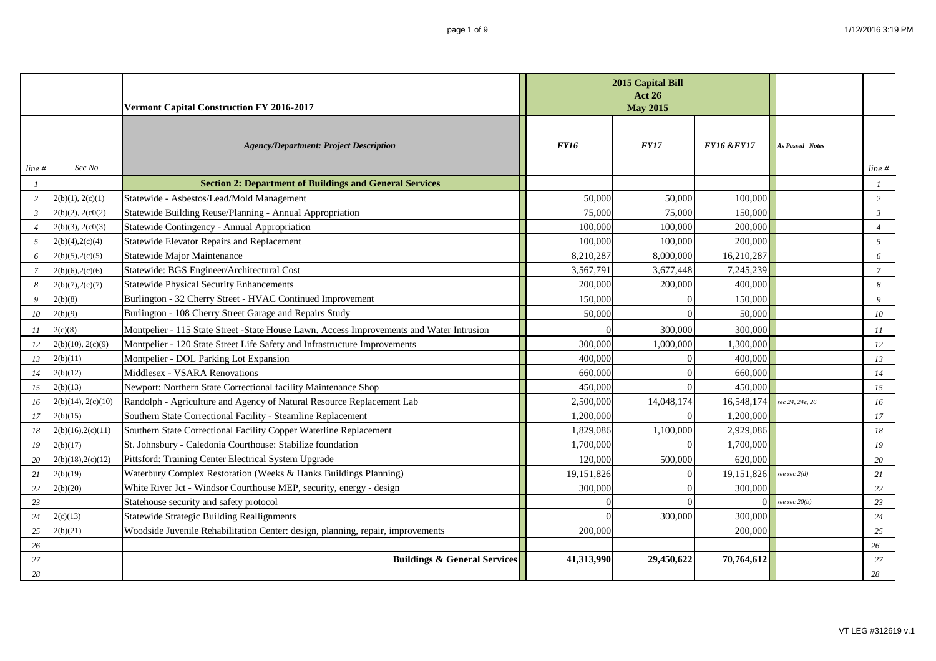|                  |                    | Vermont Capital Construction FY 2016-2017                                                | 2015 Capital Bill<br><b>Act 26</b><br><b>May 2015</b> |             |                       |                        |                |
|------------------|--------------------|------------------------------------------------------------------------------------------|-------------------------------------------------------|-------------|-----------------------|------------------------|----------------|
| $line \#$        | Sec No             | <b>Agency/Department: Project Description</b>                                            | <b>FY16</b>                                           | <b>FY17</b> | <b>FY16 &amp;FY17</b> | <b>As Passed Notes</b> | line#          |
| $\boldsymbol{l}$ |                    | <b>Section 2: Department of Buildings and General Services</b>                           |                                                       |             |                       |                        |                |
| 2                | 2(b)(1), 2(c)(1)   | Statewide - Asbestos/Lead/Mold Management                                                | 50,000                                                | 50,000      | 100,000               |                        | 2              |
| $\mathfrak{Z}$   | 2(b)(2), 2(c0(2))  | Statewide Building Reuse/Planning - Annual Appropriation                                 | 75,000                                                | 75,000      | 150,000               |                        | $\mathfrak{Z}$ |
| $\overline{4}$   | 2(b)(3), 2(c0(3))  | Statewide Contingency - Annual Appropriation                                             | 100,000                                               | 100,000     | 200,000               |                        | $\overline{4}$ |
| 5                | 2(b)(4), 2(c)(4)   | Statewide Elevator Repairs and Replacement                                               | 100,000                                               | 100,000     | 200,000               |                        | 5              |
| 6                | 2(b)(5), 2(c)(5)   | Statewide Major Maintenance                                                              | 8,210,287                                             | 8,000,000   | 16,210,287            |                        | 6              |
| $\overline{7}$   | 2(b)(6), 2(c)(6)   | Statewide: BGS Engineer/Architectural Cost                                               | 3,567,791                                             | 3,677,448   | 7,245,239             |                        | $\overline{7}$ |
| 8                | 2(b)(7), 2(c)(7)   | <b>Statewide Physical Security Enhancements</b>                                          | 200,000                                               | 200,000     | 400,000               |                        | 8              |
| 9                | 2(b)(8)            | Burlington - 32 Cherry Street - HVAC Continued Improvement                               | 150,000                                               |             | 150,000               |                        | $\overline{9}$ |
| 10               | 2(b)(9)            | Burlington - 108 Cherry Street Garage and Repairs Study                                  | 50,000                                                |             | 50,000                |                        | $10\,$         |
| 11               | 2(c)(8)            | Montpelier - 115 State Street -State House Lawn. Access Improvements and Water Intrusion |                                                       | 300,000     | 300,000               |                        | 11             |
| 12               | 2(b)(10), 2(c)(9)  | Montpelier - 120 State Street Life Safety and Infrastructure Improvements                | 300,000                                               | 1,000,000   | 1,300,000             |                        | 12             |
| 13               | 2(b)(11)           | Montpelier - DOL Parking Lot Expansion                                                   | 400,000                                               |             | 400,000               |                        | 13             |
| 14               | 2(b)(12)           | Middlesex - VSARA Renovations                                                            | 660,000                                               |             | 660,000               |                        | 14             |
| 15               | 2(b)(13)           | Newport: Northern State Correctional facility Maintenance Shop                           | 450,000                                               |             | 450,000               |                        | 15             |
| 16               | 2(b)(14), 2(c)(10) | Randolph - Agriculture and Agency of Natural Resource Replacement Lab                    | 2,500,000                                             | 14,048,174  | 16,548,174            | sec 24, 24e, 26        | 16             |
| 17               | 2(b)(15)           | Southern State Correctional Facility - Steamline Replacement                             | 1,200,000                                             |             | 1,200,000             |                        | 17             |
| 18               | 2(b)(16), 2(c)(11) | Southern State Correctional Facility Copper Waterline Replacement                        | 1,829,086                                             | 1,100,000   | 2,929,086             |                        | 18             |
| 19               | 2(b)(17)           | St. Johnsbury - Caledonia Courthouse: Stabilize foundation                               | 1,700,000                                             |             | 1,700,000             |                        | 19             |
| 20               | 2(b)(18), 2(c)(12) | Pittsford: Training Center Electrical System Upgrade                                     | 120,000                                               | 500,000     | 620,000               |                        | 20             |
| 21               | 2(b)(19)           | Waterbury Complex Restoration (Weeks & Hanks Buildings Planning)                         | 19,151,826                                            |             | 19,151,826            | see sec $2(d)$         | 21             |
| 22               | 2(b)(20)           | White River Jct - Windsor Courthouse MEP, security, energy - design                      | 300,000                                               |             | 300,000               |                        | 22             |
| 23               |                    | Statehouse security and safety protocol                                                  |                                                       |             | $\Omega$              | see sec $20(b)$        | 23             |
| 24               | 2(c)(13)           | <b>Statewide Strategic Building Reallignments</b>                                        |                                                       | 300,000     | 300,000               |                        | 24             |
| 25               | 2(b)(21)           | Woodside Juvenile Rehabilitation Center: design, planning, repair, improvements          | 200,000                                               |             | 200,000               |                        | 25             |
| 26               |                    |                                                                                          |                                                       |             |                       |                        | 26             |
| $27\,$           |                    | <b>Buildings &amp; General Services</b>                                                  | 41,313,990                                            | 29,450,622  | 70,764,612            |                        | 27             |
| 28               |                    |                                                                                          |                                                       |             |                       |                        | 28             |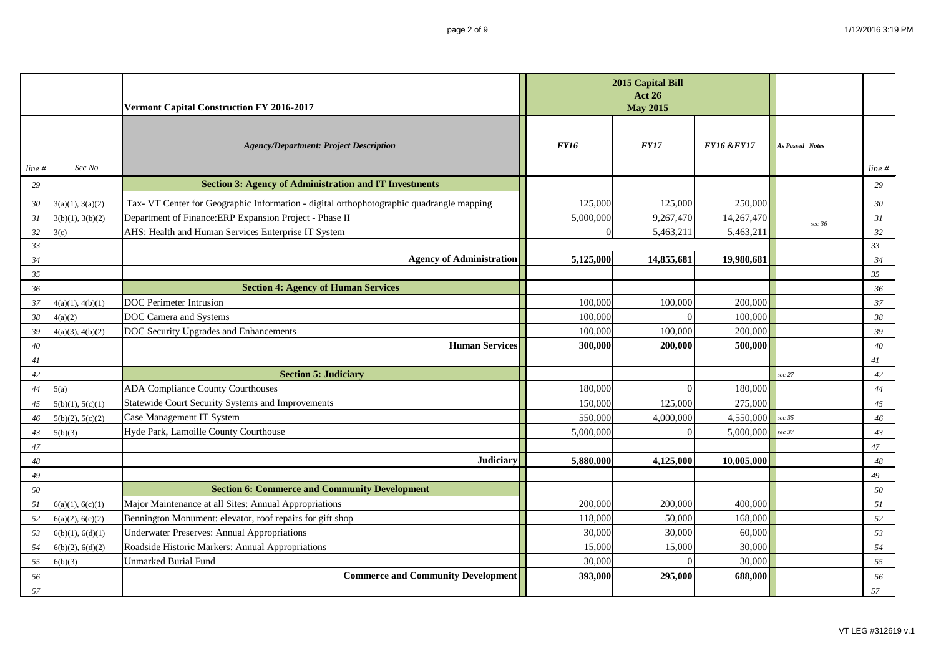|           |                  | Vermont Capital Construction FY 2016-2017                                                | 2015 Capital Bill<br><b>Act 26</b><br><b>May 2015</b> |             |                       |                        |           |
|-----------|------------------|------------------------------------------------------------------------------------------|-------------------------------------------------------|-------------|-----------------------|------------------------|-----------|
| $line \#$ | Sec No           | <b>Agency/Department: Project Description</b>                                            | <b>FY16</b>                                           | <b>FY17</b> | <b>FY16 &amp;FY17</b> | <b>As Passed Notes</b> | $line \#$ |
| 29        |                  | <b>Section 3: Agency of Administration and IT Investments</b>                            |                                                       |             |                       |                        | 29        |
| 30        | 3(a)(1), 3(a)(2) | Tax- VT Center for Geographic Information - digital orthophotographic quadrangle mapping | 125,000                                               | 125,000     | 250,000               |                        | 30        |
| 31        | 3(b)(1), 3(b)(2) | Department of Finance: ERP Expansion Project - Phase II                                  | 5,000,000                                             | 9,267,470   | 14,267,470            | sec 36                 | 31        |
| 32        | 3(c)             | AHS: Health and Human Services Enterprise IT System                                      | $\Omega$                                              | 5,463,211   | 5,463,211             |                        | 32        |
| 33        |                  |                                                                                          |                                                       |             |                       |                        | 33        |
| 34        |                  | <b>Agency of Administration</b>                                                          | 5,125,000                                             | 14,855,681  | 19,980,681            |                        | 34        |
| 35        |                  |                                                                                          |                                                       |             |                       |                        | 35        |
| 36        |                  | <b>Section 4: Agency of Human Services</b>                                               |                                                       |             |                       |                        | 36        |
| 37        | 4(a)(1), 4(b)(1) | <b>DOC</b> Perimeter Intrusion                                                           | 100,000                                               | 100,000     | 200,000               |                        | 37        |
| 38        | 4(a)(2)          | DOC Camera and Systems                                                                   | 100,000                                               | $\Omega$    | 100,000               |                        | 38        |
| 39        | 4(a)(3), 4(b)(2) | DOC Security Upgrades and Enhancements                                                   | 100,000                                               | 100,000     | 200,000               |                        | 39        |
| 40        |                  | <b>Human Services</b>                                                                    | 300,000                                               | 200,000     | 500,000               |                        | 40<br>41  |
| 41<br>42  |                  | <b>Section 5: Judiciary</b>                                                              |                                                       |             |                       | sec 27                 | 42        |
| 44        | 5(a)             | <b>ADA Compliance County Courthouses</b>                                                 | 180,000                                               | $\Omega$    | 180,000               |                        | 44        |
| 45        | 5(b)(1), 5(c)(1) | Statewide Court Security Systems and Improvements                                        | 150,000                                               | 125,000     | 275,000               |                        | 45        |
| 46        | 5(b)(2), 5(c)(2) | Case Management IT System                                                                | 550,000                                               | 4,000,000   | 4,550,000             | sec 35                 | 46        |
| 43        | 5(b)(3)          | Hyde Park, Lamoille County Courthouse                                                    | 5,000,000                                             |             | 5,000,000             | sec 37                 | 43        |
| 47        |                  |                                                                                          |                                                       |             |                       |                        | 47        |
| 48        |                  | <b>Judiciary</b>                                                                         | 5,880,000                                             | 4,125,000   | 10,005,000            |                        | 48        |
| 49        |                  |                                                                                          |                                                       |             |                       |                        | 49        |
| 50        |                  | <b>Section 6: Commerce and Community Development</b>                                     |                                                       |             |                       |                        | 50        |
| 51        | 6(a)(1), 6(c)(1) | Major Maintenance at all Sites: Annual Appropriations                                    | 200,000                                               | 200,000     | 400,000               |                        | 51        |
| 52        | 6(a)(2), 6(c)(2) | Bennington Monument: elevator, roof repairs for gift shop                                | 118,000                                               | 50,000      | 168,000               |                        | 52        |
| 53        | 6(b)(1), 6(d)(1) | <b>Underwater Preserves: Annual Appropriations</b>                                       | 30,000                                                | 30,000      | 60,000                |                        | 53        |
| 54        | 6(b)(2), 6(d)(2) | Roadside Historic Markers: Annual Appropriations                                         | 15,000                                                | 15,000      | 30,000                |                        | 54        |
| 55        | 6(b)(3)          | <b>Unmarked Burial Fund</b>                                                              | 30,000                                                |             | 30,000                |                        | 55        |
| 56        |                  | <b>Commerce and Community Development</b>                                                | 393,000                                               | 295,000     | 688,000               |                        | 56        |
| 57        |                  |                                                                                          |                                                       |             |                       |                        | 57        |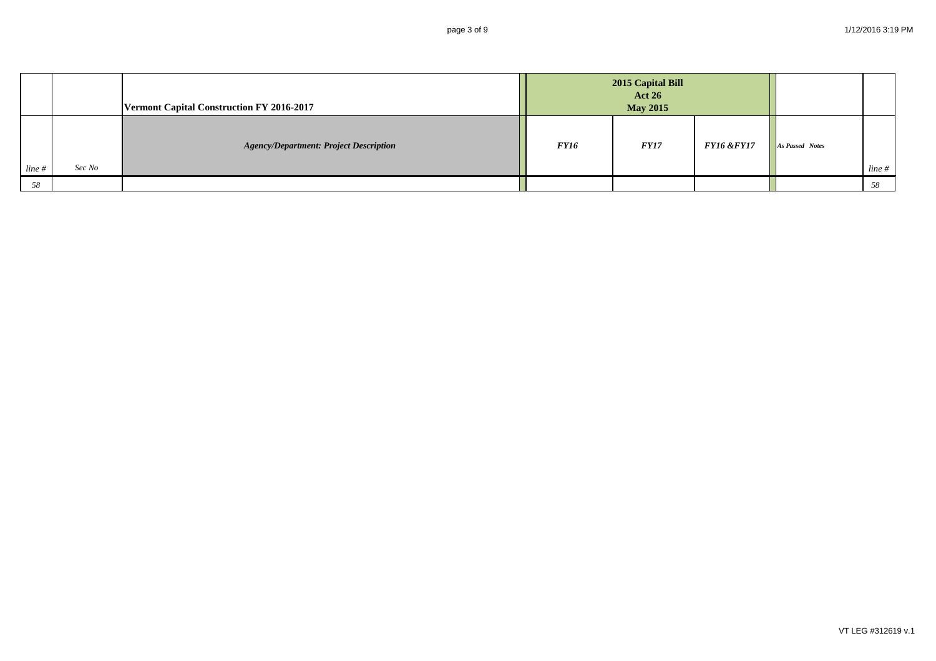|           |        | Vermont Capital Construction FY 2016-2017     | 2015 Capital Bill<br><b>Act 26</b><br><b>May 2015</b> |             |                       |                        |       |
|-----------|--------|-----------------------------------------------|-------------------------------------------------------|-------------|-----------------------|------------------------|-------|
| $line \#$ | Sec No | <b>Agency/Department: Project Description</b> | <b>FY16</b>                                           | <i>FY17</i> | <b>FY16 &amp;FY17</b> | <b>As Passed Notes</b> | line# |
| 58        |        |                                               |                                                       |             |                       |                        | 58    |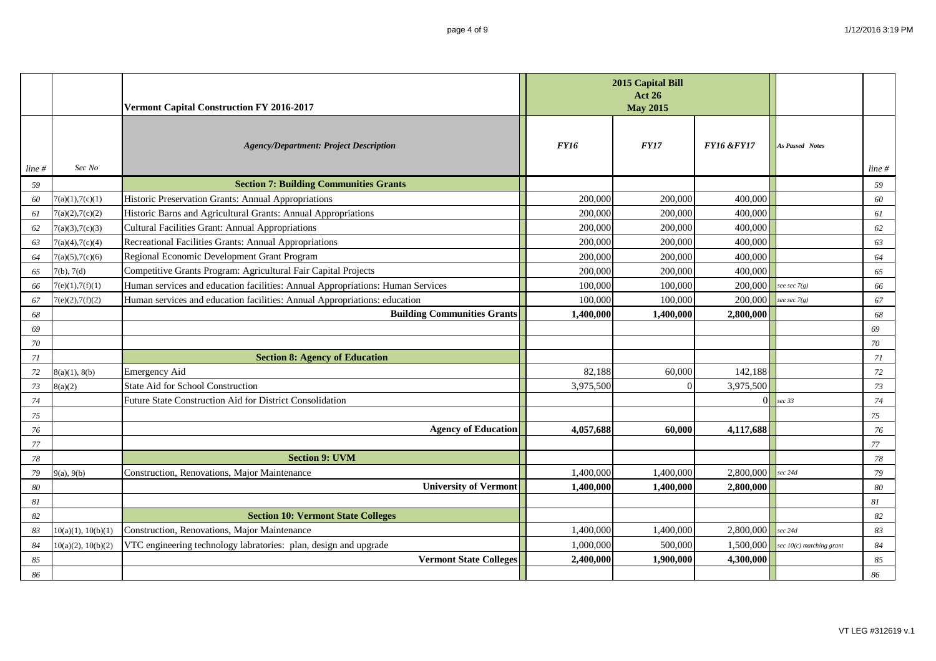|           |                    | Vermont Capital Construction FY 2016-2017                                      | 2015 Capital Bill<br><b>Act 26</b><br><b>May 2015</b> |             |                       |                            |          |
|-----------|--------------------|--------------------------------------------------------------------------------|-------------------------------------------------------|-------------|-----------------------|----------------------------|----------|
| $line \#$ | Sec No             | <b>Agency/Department: Project Description</b>                                  | <b>FY16</b>                                           | <b>FY17</b> | <b>FY16 &amp;FY17</b> | <b>As Passed Notes</b>     | line #   |
| 59        |                    | <b>Section 7: Building Communities Grants</b>                                  |                                                       |             |                       |                            | 59       |
| 60        | 7(a)(1), 7(c)(1)   | Historic Preservation Grants: Annual Appropriations                            | 200,000                                               | 200,000     | 400,000               |                            | 60       |
| 61        | 7(a)(2), 7(c)(2)   | Historic Barns and Agricultural Grants: Annual Appropriations                  | 200,000                                               | 200,000     | 400,000               |                            | 61       |
| 62        | 7(a)(3), 7(c)(3)   | <b>Cultural Facilities Grant: Annual Appropriations</b>                        | 200,000                                               | 200,000     | 400,000               |                            | 62       |
| 63        | 7(a)(4), 7(c)(4)   | Recreational Facilities Grants: Annual Appropriations                          | 200,000                                               | 200,000     | 400,000               |                            | 63       |
| 64        | 7(a)(5), 7(c)(6)   | Regional Economic Development Grant Program                                    | 200,000                                               | 200,000     | 400,000               |                            | 64       |
| 65        | 7(b), 7(d)         | Competitive Grants Program: Agricultural Fair Capital Projects                 | 200,000                                               | 200,000     | 400,000               |                            | 65       |
| 66        | 7(e)(1), 7(f)(1)   | Human services and education facilities: Annual Appropriations: Human Services | 100,000                                               | 100,000     | 200,000               | see sec $7(g)$             | 66       |
| 67        | 7(e)(2), 7(f)(2)   | Human services and education facilities: Annual Appropriations: education      | 100,000                                               | 100,000     | 200,000               | see sec $7(g)$             | 67       |
| 68        |                    | <b>Building Communities Grants</b>                                             | 1.400.000                                             | 1,400,000   | 2,800,000             |                            | 68       |
| 69        |                    |                                                                                |                                                       |             |                       |                            | 69       |
| 70        |                    |                                                                                |                                                       |             |                       |                            | 70       |
| 71        |                    | <b>Section 8: Agency of Education</b>                                          |                                                       |             |                       |                            | 71       |
| 72        | 8(a)(1), 8(b)      | Emergency Aid                                                                  | 82,188                                                | 60,000      | 142,188               |                            | 72       |
| 73        | 8(a)(2)            | <b>State Aid for School Construction</b>                                       | 3,975,500                                             |             | 3,975,500             |                            | 73       |
| 74        |                    | Future State Construction Aid for District Consolidation                       |                                                       |             | $\Omega$              | sec 33                     | 74       |
| 75        |                    |                                                                                |                                                       |             |                       |                            | 75       |
| 76        |                    | <b>Agency of Education</b>                                                     | 4,057,688                                             | 60.000      | 4,117,688             |                            | 76       |
| 77        |                    |                                                                                |                                                       |             |                       |                            | $77\,$   |
| 78        |                    | <b>Section 9: UVM</b>                                                          |                                                       |             |                       |                            | 78       |
| 79        | 9(a), 9(b)         | Construction, Renovations, Major Maintenance                                   | 1,400,000                                             | 1,400,000   | 2,800,000             | sec 24d                    | 79       |
| 80        |                    | <b>University of Vermont</b>                                                   | 1,400,000                                             | 1,400,000   | 2,800,000             |                            | 80       |
| 81        |                    |                                                                                |                                                       |             |                       |                            | $\it 81$ |
| 82        |                    | <b>Section 10: Vermont State Colleges</b>                                      |                                                       |             |                       |                            | 82       |
| 83        | 10(a)(1), 10(b)(1) | Construction, Renovations, Major Maintenance                                   | 1,400,000                                             | 1,400,000   | 2,800,000             | sec 24d                    | 83       |
| 84        | 10(a)(2), 10(b)(2) | VTC engineering technology labratories: plan, design and upgrade               | 1,000,000                                             | 500,000     | 1,500,000             | sec $10(c)$ matching grant | 84       |
| 85        |                    | <b>Vermont State Colleges</b>                                                  | 2,400,000                                             | 1,900,000   | 4,300,000             |                            | 85       |
| 86        |                    |                                                                                |                                                       |             |                       |                            | 86       |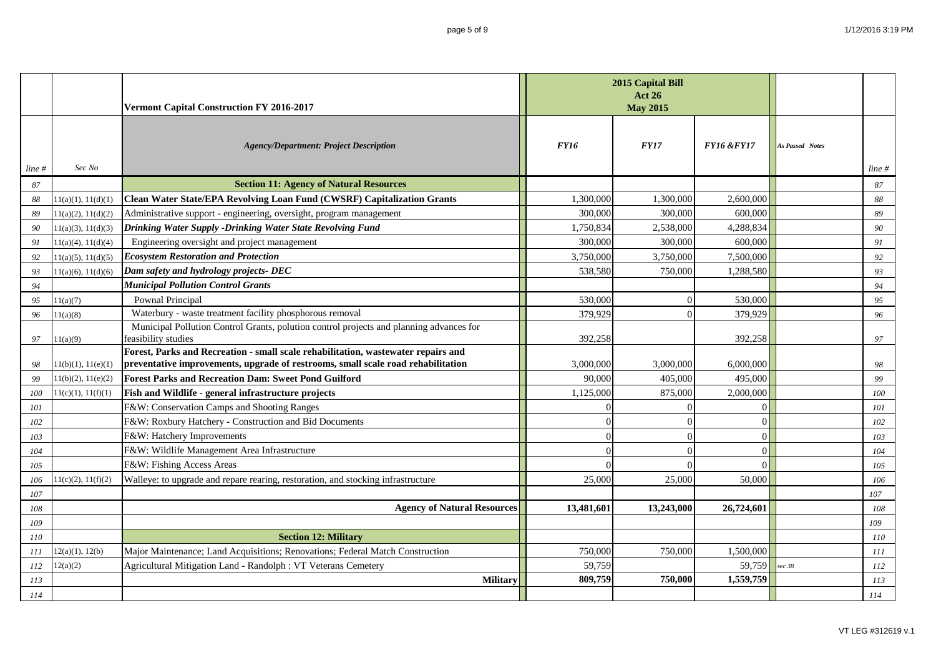|       |                    | Vermont Capital Construction FY 2016-2017                                                                | 2015 Capital Bill<br><b>Act 26</b><br><b>May 2015</b> |             |                       |                        |        |
|-------|--------------------|----------------------------------------------------------------------------------------------------------|-------------------------------------------------------|-------------|-----------------------|------------------------|--------|
| line# | Sec No             | <b>Agency/Department: Project Description</b>                                                            | <b>FY16</b>                                           | <b>FY17</b> | <b>FY16 &amp;FY17</b> | <b>As Passed Notes</b> | line # |
| 87    |                    | <b>Section 11: Agency of Natural Resources</b>                                                           |                                                       |             |                       |                        | $87\,$ |
| 88    | 11(a)(1), 11(d)(1) | Clean Water State/EPA Revolving Loan Fund (CWSRF) Capitalization Grants                                  | 1,300,000                                             | 1,300,000   | 2,600,000             |                        | 88     |
| 89    | 11(a)(2), 11(d)(2) | Administrative support - engineering, oversight, program management                                      | 300,000                                               | 300,000     | 600,000               |                        | 89     |
| 90    | 11(a)(3), 11(d)(3) | Drinking Water Supply -Drinking Water State Revolving Fund                                               | 1,750,834                                             | 2,538,000   | 4,288,834             |                        | 90     |
| 91    | 11(a)(4), 11(d)(4) | Engineering oversight and project management                                                             | 300,000                                               | 300,000     | 600,000               |                        | 91     |
| 92    | 11(a)(5), 11(d)(5) | <b>Ecosystem Restoration and Protection</b>                                                              | 3,750,000                                             | 3,750,000   | 7,500,000             |                        | 92     |
| 93    | 11(a)(6), 11(d)(6) | Dam safety and hydrology projects- DEC                                                                   | 538,580                                               | 750,000     | 1,288,580             |                        | 93     |
| 94    |                    | <b>Municipal Pollution Control Grants</b>                                                                |                                                       |             |                       |                        | 94     |
| 95    | 11(a)(7)           | Pownal Principal                                                                                         | 530,000                                               |             | 530,000               |                        | 95     |
| 96    | 11(a)(8)           | Waterbury - waste treatment facility phosphorous removal                                                 | 379,929                                               |             | 379,929               |                        | 96     |
|       |                    | Municipal Pollution Control Grants, polution control projects and planning advances for                  |                                                       |             |                       |                        |        |
| 97    | 11(a)(9)           | feasibility studies<br>Forest, Parks and Recreation - small scale rehabilitation, wastewater repairs and | 392,258                                               |             | 392,258               |                        | 97     |
| 98    | 11(b)(1), 11(e)(1) | preventative improvements, upgrade of restrooms, small scale road rehabilitation                         | 3,000,000                                             | 3,000,000   | 6,000,000             |                        | 98     |
| 99    | 11(b)(2), 11(e)(2) | <b>Forest Parks and Recreation Dam: Sweet Pond Guilford</b>                                              | 90,000                                                | 405,000     | 495,000               |                        | 99     |
| 100   | 11(c)(1), 11(f)(1) | Fish and Wildlife - general infrastructure projects                                                      | 1,125,000                                             | 875,000     | 2,000,000             |                        | 100    |
| 101   |                    | F&W: Conservation Camps and Shooting Ranges                                                              | 0                                                     |             | $\Omega$              |                        | 101    |
| 102   |                    | F&W: Roxbury Hatchery - Construction and Bid Documents                                                   | $\Omega$                                              |             | $\Omega$              |                        | 102    |
| 103   |                    | F&W: Hatchery Improvements                                                                               | $\Omega$                                              |             | $\Omega$              |                        | 103    |
| 104   |                    | F&W: Wildlife Management Area Infrastructure                                                             | $\Omega$                                              |             | $\Omega$              |                        | 104    |
| 105   |                    | F&W: Fishing Access Areas                                                                                | $\Omega$                                              |             | $\Omega$              |                        | 105    |
| 106   | 11(c)(2), 11(f)(2) | Walleye: to upgrade and repare rearing, restoration, and stocking infrastructure                         | 25,000                                                | 25,000      | 50,000                |                        | 106    |
| 107   |                    |                                                                                                          |                                                       |             |                       |                        | 107    |
| 108   |                    | <b>Agency of Natural Resources</b>                                                                       | 13,481,601                                            | 13,243,000  | 26,724,601            |                        | 108    |
| 109   |                    |                                                                                                          |                                                       |             |                       |                        | 109    |
| 110   |                    | <b>Section 12: Military</b>                                                                              |                                                       |             |                       |                        | 110    |
| 111   | 12(a)(1), 12(b)    | Major Maintenance; Land Acquisitions; Renovations; Federal Match Construction                            | 750,000                                               | 750,000     | 1,500,000             |                        | 111    |
| 112   | 12(a)(2)           | Agricultural Mitigation Land - Randolph: VT Veterans Cemetery                                            | 59,759                                                |             | 59,759                | sec 38                 | 112    |
| 113   |                    | <b>Military</b>                                                                                          | 809,759                                               | 750,000     | 1,559,759             |                        | 113    |
| 114   |                    |                                                                                                          |                                                       |             |                       |                        | 114    |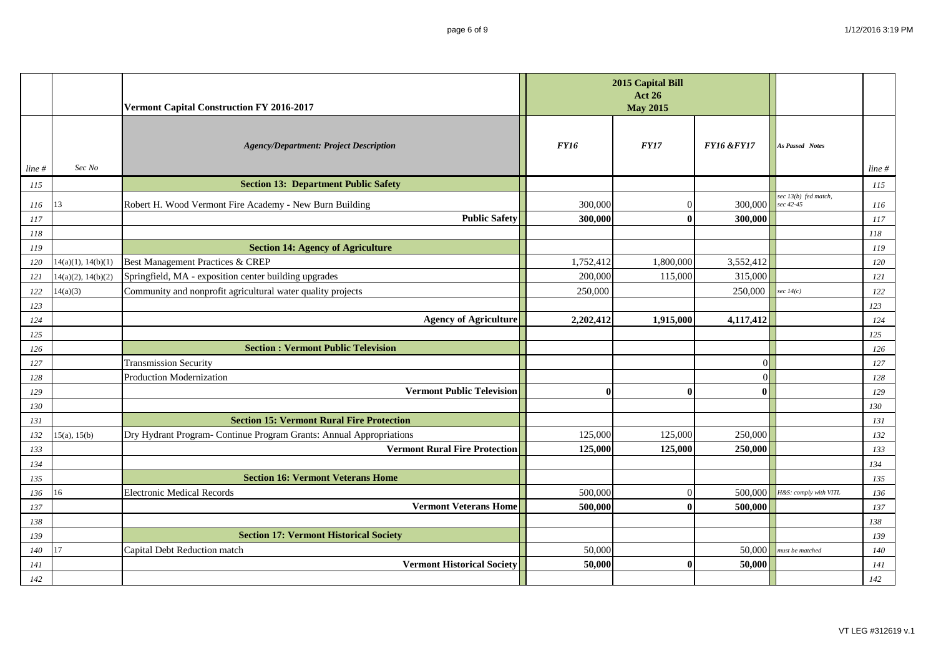|            |                                          | Vermont Capital Construction FY 2016-2017                                    | 2015 Capital Bill<br><b>Act 26</b><br><b>May 2015</b> |                      |                       |                       |            |
|------------|------------------------------------------|------------------------------------------------------------------------------|-------------------------------------------------------|----------------------|-----------------------|-----------------------|------------|
|            |                                          | <b>Agency/Department: Project Description</b>                                | <b>FY16</b>                                           | <b>FY17</b>          | <b>FY16 &amp;FY17</b> | As Passed Notes       |            |
| $line \#$  | Sec No                                   | <b>Section 13: Department Public Safety</b>                                  |                                                       |                      |                       |                       | line#      |
| 115        |                                          |                                                                              |                                                       |                      |                       | sec 13(b) fed match,  | 115        |
| 116        | 13                                       | Robert H. Wood Vermont Fire Academy - New Burn Building                      | 300,000                                               |                      | 300,000               | sec 42-45             | 116        |
| 117        |                                          | <b>Public Safety</b>                                                         | 300,000                                               |                      | 300,000               |                       | 117        |
| 118        |                                          |                                                                              |                                                       |                      |                       |                       | 118        |
| 119        |                                          | <b>Section 14: Agency of Agriculture</b><br>Best Management Practices & CREP |                                                       |                      |                       |                       | 119        |
| 120        | 14(a)(1), 14(b)(1)<br>14(a)(2), 14(b)(2) | Springfield, MA - exposition center building upgrades                        | 1,752,412<br>200,000                                  | 1,800,000<br>115,000 | 3,552,412<br>315,000  |                       | 120<br>121 |
| 121<br>122 | 14(a)(3)                                 | Community and nonprofit agricultural water quality projects                  | 250,000                                               |                      | 250,000               | sec $14(c)$           | 122        |
| 123        |                                          |                                                                              |                                                       |                      |                       |                       | 123        |
| 124        |                                          | <b>Agency of Agriculture</b>                                                 | 2,202,412                                             | 1,915,000            | 4,117,412             |                       | 124        |
| 125        |                                          |                                                                              |                                                       |                      |                       |                       | 125        |
| 126        |                                          | <b>Section : Vermont Public Television</b>                                   |                                                       |                      |                       |                       | 126        |
| 127        |                                          | <b>Transmission Security</b>                                                 |                                                       |                      | $\Omega$              |                       | 127        |
| 128        |                                          | Production Modernization                                                     |                                                       |                      | $\Omega$              |                       | 128        |
| 129        |                                          | <b>Vermont Public Television</b>                                             | $\bf{0}$                                              |                      | $\mathbf{0}$          |                       | 129        |
| 130        |                                          |                                                                              |                                                       |                      |                       |                       | 130        |
| 131        |                                          | <b>Section 15: Vermont Rural Fire Protection</b>                             |                                                       |                      |                       |                       | 131        |
| 132        | 15(a), 15(b)                             | Dry Hydrant Program- Continue Program Grants: Annual Appropriations          | 125,000                                               | 125,000              | 250,000               |                       | 132        |
| 133        |                                          | <b>Vermont Rural Fire Protection</b>                                         | 125,000                                               | 125,000              | 250,000               |                       | 133        |
| 134        |                                          |                                                                              |                                                       |                      |                       |                       | 134        |
| 135        |                                          | <b>Section 16: Vermont Veterans Home</b>                                     |                                                       |                      |                       |                       | 135        |
| 136        | 16                                       | <b>Electronic Medical Records</b>                                            | 500,000                                               |                      | 500,000               | H&S: comply with VITL | 136        |
| 137        |                                          | <b>Vermont Veterans Home</b>                                                 | 500,000                                               |                      | 500,000               |                       | $137\,$    |
| 138        |                                          |                                                                              |                                                       |                      |                       |                       | 138        |
| 139        |                                          | <b>Section 17: Vermont Historical Society</b>                                |                                                       |                      |                       |                       | 139        |
| 140        | 17                                       | Capital Debt Reduction match                                                 | 50,000                                                |                      | 50,000                | must be matched       | 140        |
| 141        |                                          | <b>Vermont Historical Society</b>                                            | 50,000                                                |                      | 50,000                |                       | 141        |
| 142        |                                          |                                                                              |                                                       |                      |                       |                       | 142        |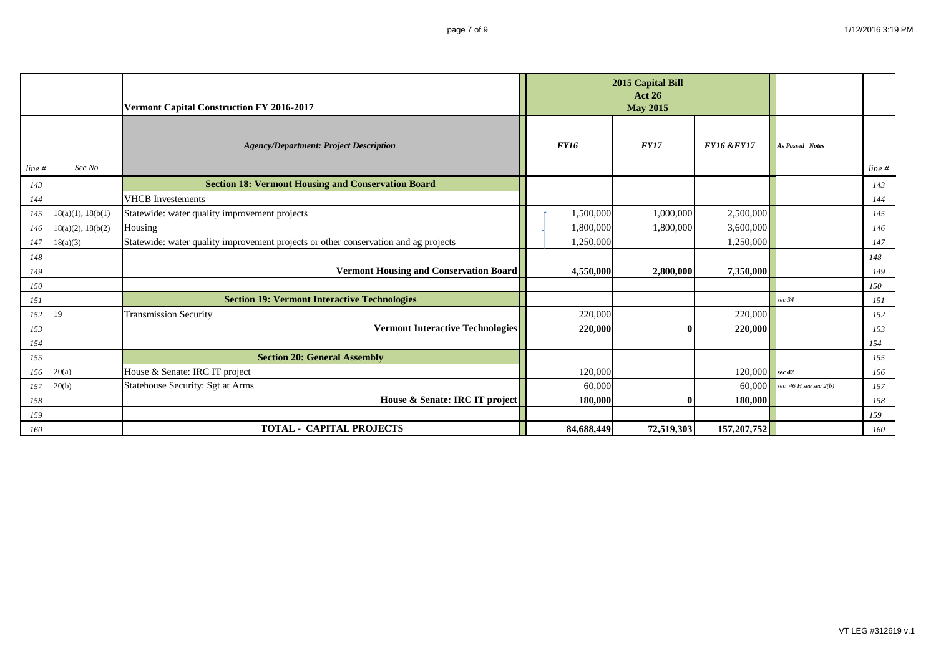|           |                        | Vermont Capital Construction FY 2016-2017                                           | 2015 Capital Bill<br><b>Act 26</b><br><b>May 2015</b> |             |                       |                           |           |
|-----------|------------------------|-------------------------------------------------------------------------------------|-------------------------------------------------------|-------------|-----------------------|---------------------------|-----------|
| $line \#$ | Sec No                 | <b>Agency/Department: Project Description</b>                                       | <b>FY16</b>                                           | <b>FY17</b> | <b>FY16 &amp;FY17</b> | <b>As Passed Notes</b>    | $line \#$ |
| 143       |                        | <b>Section 18: Vermont Housing and Conservation Board</b>                           |                                                       |             |                       |                           | 143       |
| 144       |                        | <b>VHCB</b> Investements                                                            |                                                       |             |                       |                           | 144       |
| 145       | 18(a)(1), 18(b(1)      | Statewide: water quality improvement projects                                       | 1,500,000                                             | 1,000,000   | 2,500,000             |                           | 145       |
| 146       | $18(a)(2)$ , $18(b(2)$ | Housing                                                                             | 1,800,000                                             | 1,800,000   | 3,600,000             |                           | 146       |
| 147       | 18(a)(3)               | Statewide: water quality improvement projects or other conservation and ag projects | 1,250,000                                             |             | 1,250,000             |                           | 147       |
| 148       |                        |                                                                                     |                                                       |             |                       |                           | 148       |
| 149       |                        | <b>Vermont Housing and Conservation Board</b>                                       | 4,550,000                                             | 2,800,000   | 7,350,000             |                           | 149       |
| 150       |                        |                                                                                     |                                                       |             |                       |                           | 150       |
| 151       |                        | <b>Section 19: Vermont Interactive Technologies</b>                                 |                                                       |             |                       | sec 34                    | 151       |
| 152       | 19                     | <b>Transmission Security</b>                                                        | 220,000                                               |             | 220,000               |                           | 152       |
| 153       |                        | <b>Vermont Interactive Technologies</b>                                             | 220,000                                               |             | 220,000               |                           | 153       |
| 154       |                        |                                                                                     |                                                       |             |                       |                           | 154       |
| 155       |                        | <b>Section 20: General Assembly</b>                                                 |                                                       |             |                       |                           | 155       |
| 156       | 20(a)                  | House & Senate: IRC IT project                                                      | 120,000                                               |             | 120,000               | sec 47                    | 156       |
| 157       | 20(b)                  | Statehouse Security: Sgt at Arms                                                    | 60,000                                                |             | 60,000                | sec $46$ H see sec $2(b)$ | 157       |
| 158       |                        | House & Senate: IRC IT project                                                      | 180,000                                               |             | 180,000               |                           | 158       |
| 159       |                        |                                                                                     |                                                       |             |                       |                           | 159       |
| 160       |                        | <b>TOTAL - CAPITAL PROJECTS</b>                                                     | 84,688,449                                            | 72,519,303  | 157,207,752           |                           | 160       |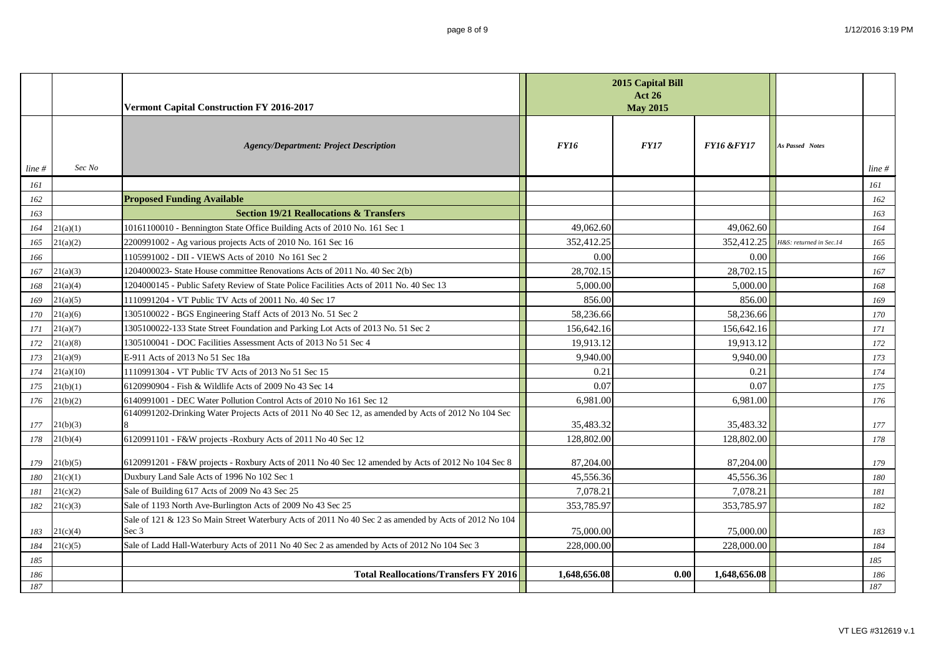|           |           | Vermont Capital Construction FY 2016-2017                                                                      |              | 2015 Capital Bill<br><b>Act 26</b><br><b>May 2015</b> |                       |                         |        |
|-----------|-----------|----------------------------------------------------------------------------------------------------------------|--------------|-------------------------------------------------------|-----------------------|-------------------------|--------|
| $line \#$ | Sec No    | <b>Agency/Department: Project Description</b>                                                                  | <b>FY16</b>  | <b>FY17</b>                                           | <b>FY16 &amp;FY17</b> | <b>As Passed Notes</b>  | line # |
| 161       |           |                                                                                                                |              |                                                       |                       |                         | 161    |
| 162       |           | <b>Proposed Funding Available</b>                                                                              |              |                                                       |                       |                         | 162    |
| 163       |           | <b>Section 19/21 Reallocations &amp; Transfers</b>                                                             |              |                                                       |                       |                         | 163    |
| 164       | 21(a)(1)  | 10161100010 - Bennington State Office Building Acts of 2010 No. 161 Sec 1                                      | 49,062.60    |                                                       | 49,062.60             |                         | 164    |
| 165       | 21(a)(2)  | 2200991002 - Ag various projects Acts of 2010 No. 161 Sec 16                                                   | 352,412.25   |                                                       | 352,412.25            | H&S: returned in Sec.14 | 165    |
| 166       |           | 1105991002 - DII - VIEWS Acts of 2010 No 161 Sec 2                                                             | 0.00         |                                                       | 0.00                  |                         | 166    |
| 167       | 21(a)(3)  | 1204000023- State House committee Renovations Acts of 2011 No. 40 Sec 2(b)                                     | 28,702.15    |                                                       | 28,702.15             |                         | 167    |
| 168       | 21(a)(4)  | 1204000145 - Public Safety Review of State Police Facilities Acts of 2011 No. 40 Sec 13                        | 5,000.00     |                                                       | 5,000.00              |                         | 168    |
| 169       | 21(a)(5)  | 1110991204 - VT Public TV Acts of 20011 No. 40 Sec 17                                                          | 856.00       |                                                       | 856.00                |                         | 169    |
| 170       | 21(a)(6)  | 1305100022 - BGS Engineering Staff Acts of 2013 No. 51 Sec 2                                                   | 58,236.66    |                                                       | 58,236.66             |                         | 170    |
| 171       | 21(a)(7)  | 1305100022-133 State Street Foundation and Parking Lot Acts of 2013 No. 51 Sec 2                               | 156,642.16   |                                                       | 156,642.16            |                         | 171    |
| 172       | 21(a)(8)  | 1305100041 - DOC Facilities Assessment Acts of 2013 No 51 Sec 4                                                | 19.913.12    |                                                       | 19.913.12             |                         | 172    |
| 173       | 21(a)(9)  | E-911 Acts of 2013 No 51 Sec 18a                                                                               | 9,940.00     |                                                       | 9,940.00              |                         | 173    |
| 174       | 21(a)(10) | 1110991304 - VT Public TV Acts of 2013 No 51 Sec 15                                                            | 0.21         |                                                       | 0.21                  |                         | 174    |
| 175       | 21(b)(1)  | 6120990904 - Fish & Wildlife Acts of 2009 No 43 Sec 14                                                         | 0.07         |                                                       | 0.07                  |                         | 175    |
| 176       | 21(b)(2)  | 6140991001 - DEC Water Pollution Control Acts of 2010 No 161 Sec 12                                            | 6,981.00     |                                                       | 6,981.00              |                         | 176    |
|           |           | 6140991202-Drinking Water Projects Acts of 2011 No 40 Sec 12, as amended by Acts of 2012 No 104 Sec            |              |                                                       |                       |                         |        |
| 177       | 21(b)(3)  |                                                                                                                | 35,483.32    |                                                       | 35,483.32             |                         | 177    |
| 178       | 21(b)(4)  | 6120991101 - F&W projects -Roxbury Acts of 2011 No 40 Sec 12                                                   | 128,802.00   |                                                       | 128,802.00            |                         | 178    |
| 179       | 21(b)(5)  | 6120991201 - F&W projects - Roxbury Acts of 2011 No 40 Sec 12 amended by Acts of 2012 No 104 Sec 8             | 87,204.00    |                                                       | 87,204.00             |                         | 179    |
| 180       | 21(c)(1)  | Duxbury Land Sale Acts of 1996 No 102 Sec 1                                                                    | 45,556.36    |                                                       | 45,556.36             |                         | 180    |
| 181       | 21(c)(2)  | Sale of Building 617 Acts of 2009 No 43 Sec 25                                                                 | 7,078.21     |                                                       | 7,078.21              |                         | 181    |
| 182       | 21(c)(3)  | Sale of 1193 North Ave-Burlington Acts of 2009 No 43 Sec 25                                                    | 353,785.97   |                                                       | 353,785.97            |                         | 182    |
| 183       | 21(c)(4)  | Sale of 121 & 123 So Main Street Waterbury Acts of 2011 No 40 Sec 2 as amended by Acts of 2012 No 104<br>Sec 3 | 75,000.00    |                                                       | 75,000.00             |                         | 183    |
| 184       | 21(c)(5)  | Sale of Ladd Hall-Waterbury Acts of 2011 No 40 Sec 2 as amended by Acts of 2012 No 104 Sec 3                   | 228,000.00   |                                                       | 228,000.00            |                         | 184    |
| 185       |           |                                                                                                                |              |                                                       |                       |                         | 185    |
| 186       |           | <b>Total Reallocations/Transfers FY 2016</b>                                                                   | 1,648,656.08 | 0.00                                                  | 1,648,656.08          |                         | 186    |
| 187       |           |                                                                                                                |              |                                                       |                       |                         | 187    |